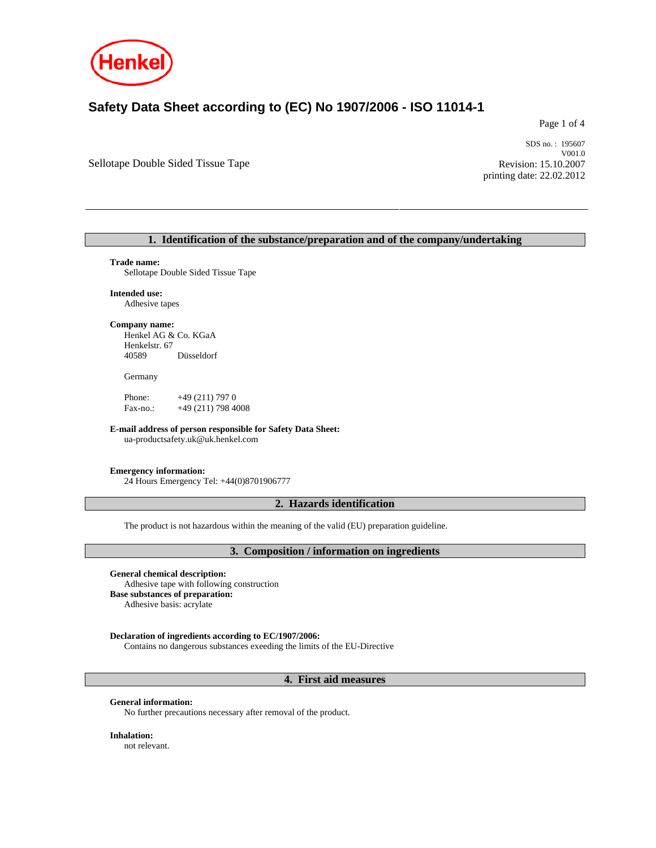

# **Safety Data Sheet according to (EC) No 1907/2006 - ISO 11014-1**

Page 1 of 4

Sellotape Double Sided Tissue Tape

SDS no. : 195607 V001.0 Revision: 15.10.2007 printing date: 22.02.2012

# **1. Identification of the substance/preparation and of the company/undertaking**

#### **Trade name:**

Sellotape Double Sided Tissue Tape

**Intended use:** 

# Adhesive tapes

**Company name:**  Henkel AG & Co. KGaA Henkelstr. 67 40589 Düsseldorf

Germany

Phone:  $+49(211) 7970$ Fax-no.: +49 (211) 798 4008

**E-mail address of person responsible for Safety Data Sheet:** 

ua-productsafety.uk@uk.henkel.com

#### **Emergency information:**

24 Hours Emergency Tel: +44(0)8701906777

# **2. Hazards identification**

The product is not hazardous within the meaning of the valid (EU) preparation guideline.

#### **3. Composition / information on ingredients**

#### **General chemical description:**

Adhesive tape with following construction **Base substances of preparation:**  Adhesive basis: acrylate

# **Declaration of ingredients according to EC/1907/2006:**

Contains no dangerous substances exeeding the limits of the EU-Directive

# **4. First aid measures**

### **General information:**

No further precautions necessary after removal of the product.

**Inhalation:**  not relevant.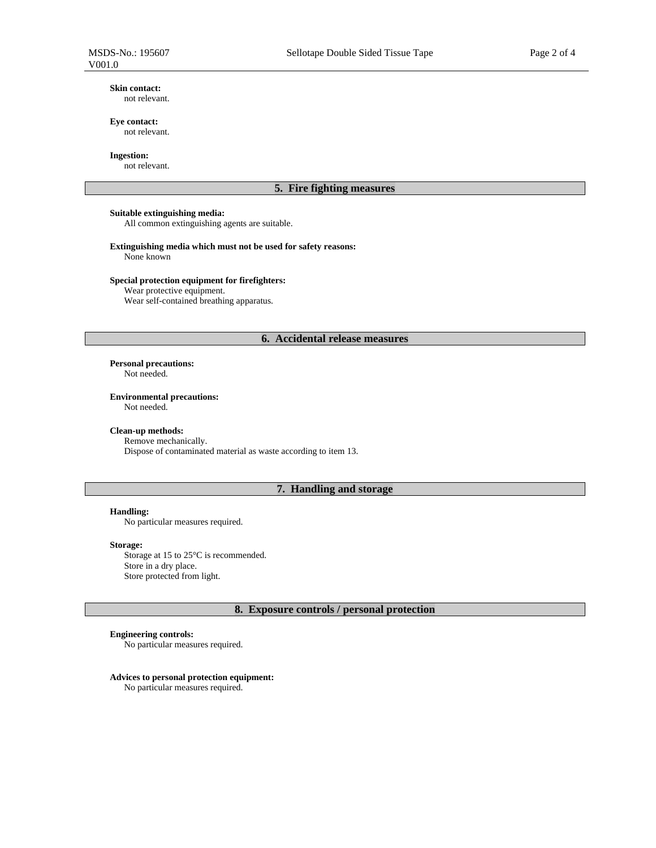#### **Skin contact:**  not relevant.

# **Eye contact:**

not relevant.

# **Ingestion:**

not relevant.

# **5. Fire fighting measures**

# **Suitable extinguishing media:**

All common extinguishing agents are suitable.

# **Extinguishing media which must not be used for safety reasons:**

None known

# **Special protection equipment for firefighters:**

Wear protective equipment.

Wear self-contained breathing apparatus.

# **6. Accidental release measures**

**Personal precautions:**

Not needed.

#### **Environmental precautions:**

Not needed.

#### **Clean-up methods:**

Remove mechanically. Dispose of contaminated material as waste according to item 13.

# **7. Handling and storage**

#### **Handling:**

No particular measures required.

#### **Storage:**

Storage at 15 to 25°C is recommended. Store in a dry place. Store protected from light.

# **8. Exposure controls / personal protection**

#### **Engineering controls:**

No particular measures required.

# **Advices to personal protection equipment:**

No particular measures required.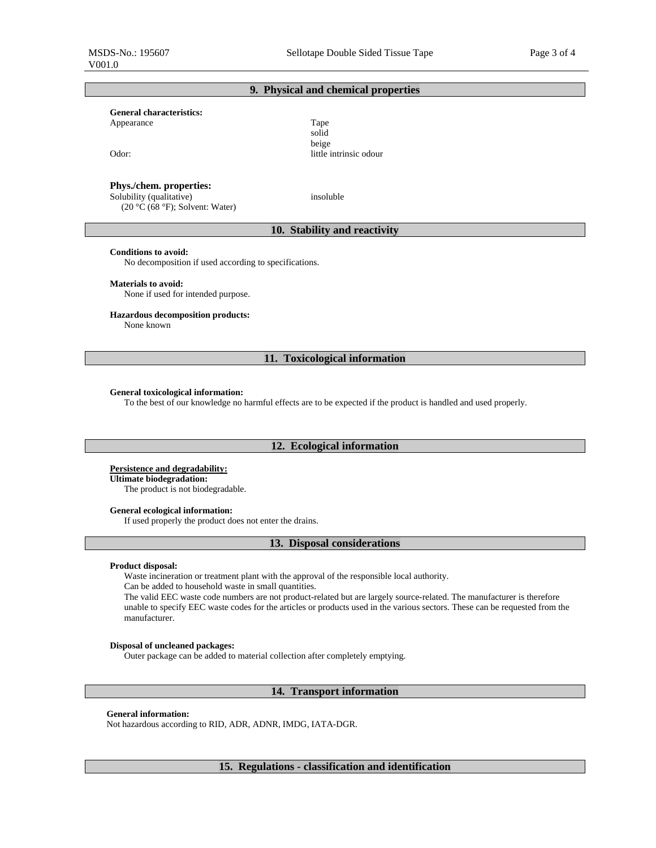# **9. Physical and chemical properties**

#### **General characteristics:**

Appearance Tape

Odor: little intrinsic odour

#### **Phys./chem. properties:**

 Solubility (qualitative) (20 °C (68 °F); Solvent: Water)

insoluble

solid beige

# **10. Stability and reactivity**

### **Conditions to avoid:**

No decomposition if used according to specifications.

#### **Materials to avoid:**

None if used for intended purpose.

#### **Hazardous decomposition products:**

None known

# **11. Toxicological information**

#### **General toxicological information:**

To the best of our knowledge no harmful effects are to be expected if the product is handled and used properly.

#### **12. Ecological information**

#### **Persistence and degradability:**

**Ultimate biodegradation:**  The product is not biodegradable.

#### **General ecological information:**

If used properly the product does not enter the drains.

# **13. Disposal considerations**

# **Product disposal:**

Waste incineration or treatment plant with the approval of the responsible local authority.

Can be added to household waste in small quantities.

The valid EEC waste code numbers are not product-related but are largely source-related. The manufacturer is therefore unable to specify EEC waste codes for the articles or products used in the various sectors. These can be requested from the manufacturer.

#### **Disposal of uncleaned packages:**

Outer package can be added to material collection after completely emptying.

#### **14. Transport information**

#### **General information:**

Not hazardous according to RID, ADR, ADNR, IMDG, IATA-DGR.

# **15. Regulations - classification and identification**